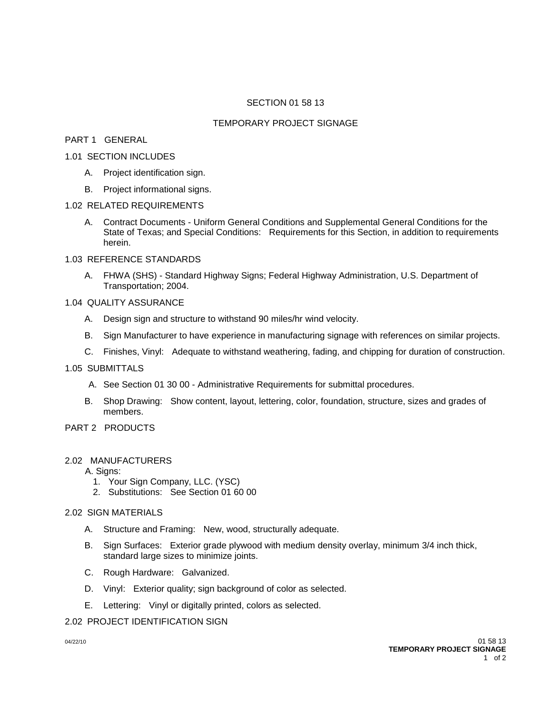## SECTION 01 58 13

#### TEMPORARY PROJECT SIGNAGE

# PART 1 GENERAL

## 1.01 SECTION INCLUDES

- A. Project identification sign.
- B. Project informational signs.

#### 1.02 RELATED REQUIREMENTS

A. Contract Documents - Uniform General Conditions and Supplemental General Conditions for the State of Texas; and Special Conditions: Requirements for this Section, in addition to requirements herein.

# 1.03 REFERENCE STANDARDS

A. FHWA (SHS) - Standard Highway Signs; Federal Highway Administration, U.S. Department of Transportation; 2004.

# 1.04 QUALITY ASSURANCE

- A. Design sign and structure to withstand 90 miles/hr wind velocity.
- B. Sign Manufacturer to have experience in manufacturing signage with references on similar projects.
- C. Finishes, Vinyl: Adequate to withstand weathering, fading, and chipping for duration of construction.

# 1.05 SUBMITTALS

- A. See Section 01 30 00 Administrative Requirements for submittal procedures.
- B. Shop Drawing: Show content, layout, lettering, color, foundation, structure, sizes and grades of members.

# PART 2 PRODUCTS

## 2.02 MANUFACTURERS

A. Signs:

- 1. Your Sign Company, LLC. (YSC)
- 2. Substitutions: See Section 01 60 00

## 2.02 SIGN MATERIALS

- A. Structure and Framing: New, wood, structurally adequate.
- B. Sign Surfaces: Exterior grade plywood with medium density overlay, minimum 3/4 inch thick, standard large sizes to minimize joints.
- C. Rough Hardware: Galvanized.
- D. Vinyl: Exterior quality; sign background of color as selected.
- E. Lettering: Vinyl or digitally printed, colors as selected.

## 2.02 PROJECT IDENTIFICATION SIGN